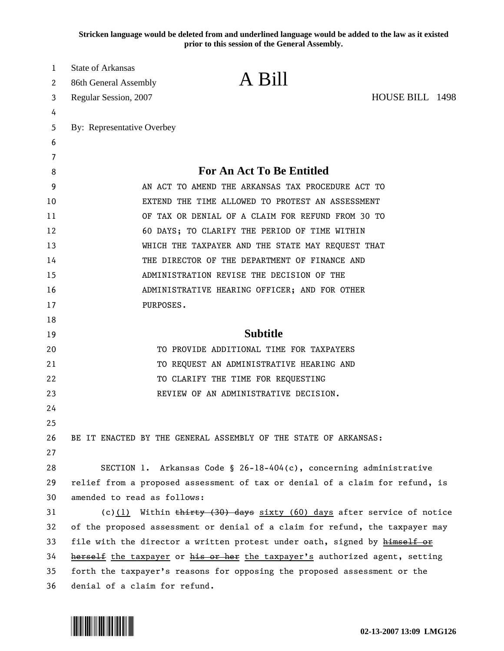**Stricken language would be deleted from and underlined language would be added to the law as it existed prior to this session of the General Assembly.**

| 1  | State of Arkansas                                                            |                                                                              |                 |  |  |
|----|------------------------------------------------------------------------------|------------------------------------------------------------------------------|-----------------|--|--|
| 2  | 86th General Assembly                                                        | A Bill                                                                       |                 |  |  |
| 3  | Regular Session, 2007                                                        |                                                                              | HOUSE BILL 1498 |  |  |
| 4  |                                                                              |                                                                              |                 |  |  |
| 5  | By: Representative Overbey                                                   |                                                                              |                 |  |  |
| 6  |                                                                              |                                                                              |                 |  |  |
| 7  |                                                                              |                                                                              |                 |  |  |
| 8  | <b>For An Act To Be Entitled</b>                                             |                                                                              |                 |  |  |
| 9  | AN ACT TO AMEND THE ARKANSAS TAX PROCEDURE ACT TO                            |                                                                              |                 |  |  |
| 10 | EXTEND THE TIME ALLOWED TO PROTEST AN ASSESSMENT                             |                                                                              |                 |  |  |
| 11 | OF TAX OR DENIAL OF A CLAIM FOR REFUND FROM 30 TO                            |                                                                              |                 |  |  |
| 12 | 60 DAYS; TO CLARIFY THE PERIOD OF TIME WITHIN                                |                                                                              |                 |  |  |
| 13 | WHICH THE TAXPAYER AND THE STATE MAY REQUEST THAT                            |                                                                              |                 |  |  |
| 14 | THE DIRECTOR OF THE DEPARTMENT OF FINANCE AND                                |                                                                              |                 |  |  |
| 15 | ADMINISTRATION REVISE THE DECISION OF THE                                    |                                                                              |                 |  |  |
| 16 | ADMINISTRATIVE HEARING OFFICER; AND FOR OTHER                                |                                                                              |                 |  |  |
| 17 | PURPOSES.                                                                    |                                                                              |                 |  |  |
| 18 |                                                                              |                                                                              |                 |  |  |
| 19 |                                                                              | <b>Subtitle</b>                                                              |                 |  |  |
| 20 |                                                                              | TO PROVIDE ADDITIONAL TIME FOR TAXPAYERS                                     |                 |  |  |
| 21 |                                                                              | TO REQUEST AN ADMINISTRATIVE HEARING AND                                     |                 |  |  |
| 22 |                                                                              | TO CLARIFY THE TIME FOR REQUESTING                                           |                 |  |  |
| 23 |                                                                              | REVIEW OF AN ADMINISTRATIVE DECISION.                                        |                 |  |  |
| 24 |                                                                              |                                                                              |                 |  |  |
| 25 |                                                                              |                                                                              |                 |  |  |
| 26 |                                                                              | BE IT ENACTED BY THE GENERAL ASSEMBLY OF THE STATE OF ARKANSAS:              |                 |  |  |
| 27 |                                                                              |                                                                              |                 |  |  |
| 28 |                                                                              | SECTION 1. Arkansas Code § 26-18-404(c), concerning administrative           |                 |  |  |
| 29 |                                                                              | relief from a proposed assessment of tax or denial of a claim for refund, is |                 |  |  |
| 30 | amended to read as follows:                                                  |                                                                              |                 |  |  |
| 31 |                                                                              | (c) $(1)$ Within thirty (30) days sixty (60) days after service of notice    |                 |  |  |
| 32 | of the proposed assessment or denial of a claim for refund, the taxpayer may |                                                                              |                 |  |  |
| 33 |                                                                              | file with the director a written protest under oath, signed by himself or    |                 |  |  |
| 34 | herself the taxpayer or his or her the taxpayer's authorized agent, setting  |                                                                              |                 |  |  |
| 35 | forth the taxpayer's reasons for opposing the proposed assessment or the     |                                                                              |                 |  |  |
| 36 | denial of a claim for refund.                                                |                                                                              |                 |  |  |

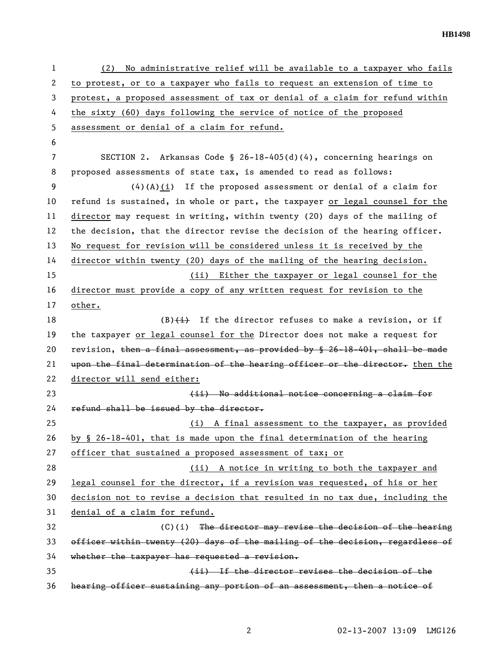**HB1498** 

1 (2) No administrative relief will be available to a taxpayer who fails 2 to protest, or to a taxpayer who fails to request an extension of time to 3 protest, a proposed assessment of tax or denial of a claim for refund within 4 the sixty (60) days following the service of notice of the proposed 5 assessment or denial of a claim for refund. 6 7 SECTION 2. Arkansas Code § 26-18-405(d)(4), concerning hearings on 8 proposed assessments of state tax, is amended to read as follows: 9 (4)(A)(i) If the proposed assessment or denial of a claim for 10 refund is sustained, in whole or part, the taxpayer or legal counsel for the 11 director may request in writing, within twenty (20) days of the mailing of 12 the decision, that the director revise the decision of the hearing officer. 13 No request for revision will be considered unless it is received by the 14 director within twenty (20) days of the mailing of the hearing decision. 15 (ii) Either the taxpayer or legal counsel for the 16 director must provide a copy of any written request for revision to the 17 other. 18 (B) $\leftrightarrow$  If the director refuses to make a revision, or if 19 the taxpayer or legal counsel for the Director does not make a request for 20 revision, then a final assessment, as provided by § 26-18-401, shall be made 21 upon the final determination of the hearing officer or the director. then the 22 director will send either: 23 **discussed in the additional notice concerning a claim for** 24 refund shall be issued by the director. 25 (i) A final assessment to the taxpayer, as provided 26 by § 26-18-401, that is made upon the final determination of the hearing 27 officer that sustained a proposed assessment of tax; or 28 (ii) A notice in writing to both the taxpayer and 29 legal counsel for the director, if a revision was requested, of his or her 30 decision not to revise a decision that resulted in no tax due, including the 31 denial of a claim for refund. 32 (C)(i) The director may revise the decision of the hearing 33 officer within twenty (20) days of the mailing of the decision, regardless of 34 whether the taxpayer has requested a revision. 35 (ii) If the director revises the decision of the 36 hearing officer sustaining any portion of an assessment, then a notice of